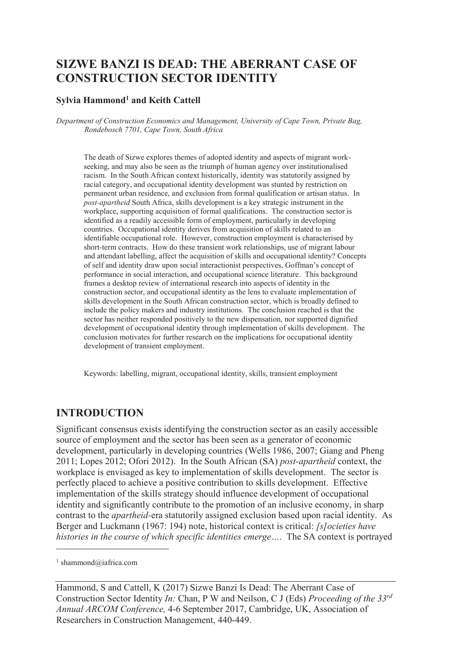# **SIZWE BANZI IS DEAD: THE ABERRANT CASE OF CONSTRUCTION SECTOR IDENTITY**

#### **Sylvia Hammond<sup>1</sup> and Keith Cattell**

*Department of Construction Economics and Management, University of Cape Town, Private Bag, Rondebosch 7701, Cape Town, South Africa* 

The death of Sizwe explores themes of adopted identity and aspects of migrant workseeking, and may also be seen as the triumph of human agency over institutionalised racism. In the South African context historically, identity was statutorily assigned by racial category, and occupational identity development was stunted by restriction on permanent urban residence, and exclusion from formal qualification or artisan status. In *post-apartheid* South Africa, skills development is a key strategic instrument in the workplace, supporting acquisition of formal qualifications. The construction sector is identified as a readily accessible form of employment, particularly in developing countries. Occupational identity derives from acquisition of skills related to an identifiable occupational role. However, construction employment is characterised by short-term contracts. How do these transient work relationships, use of migrant labour and attendant labelling, affect the acquisition of skills and occupational identity? Concepts of self and identity draw upon social interactionist perspectives, Goffman's concept of performance in social interaction, and occupational science literature. This background frames a desktop review of international research into aspects of identity in the construction sector, and occupational identity as the lens to evaluate implementation of skills development in the South African construction sector, which is broadly defined to include the policy makers and industry institutions. The conclusion reached is that the sector has neither responded positively to the new dispensation, nor supported dignified development of occupational identity through implementation of skills development. The conclusion motivates for further research on the implications for occupational identity development of transient employment.

Keywords: labelling, migrant, occupational identity, skills, transient employment

### **INTRODUCTION**

Significant consensus exists identifying the construction sector as an easily accessible source of employment and the sector has been seen as a generator of economic development, particularly in developing countries (Wells 1986, 2007; Giang and Pheng 2011; Lopes 2012; Ofori 2012). In the South African (SA) *post-apartheid* context, the workplace is envisaged as key to implementation of skills development. The sector is perfectly placed to achieve a positive contribution to skills development. Effective implementation of the skills strategy should influence development of occupational identity and significantly contribute to the promotion of an inclusive economy, in sharp contrast to the *apartheid-*era statutorily assigned exclusion based upon racial identity. As Berger and Luckmann (1967: 194) note, historical context is critical: *[s]ocieties have histories in the course of which specific identities emerge…*. The SA context is portrayed

-

<sup>1</sup> shammond@iafrica.com

Hammond, S and Cattell, K (2017) Sizwe Banzi Is Dead: The Aberrant Case of Construction Sector Identity *In:* Chan, P W and Neilson, C J (Eds) *Proceeding of the 33rd Annual ARCOM Conference,* 4-6 September 2017, Cambridge, UK, Association of Researchers in Construction Management, 440-449.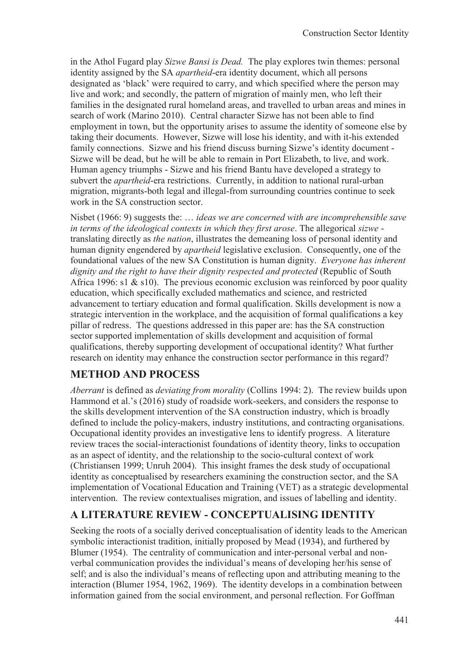in the Athol Fugard play *Sizwe Bansi is Dead.* The play explores twin themes: personal identity assigned by the SA *apartheid*-era identity document, which all persons designated as 'black' were required to carry, and which specified where the person may live and work; and secondly, the pattern of migration of mainly men, who left their families in the designated rural homeland areas, and travelled to urban areas and mines in search of work (Marino 2010). Central character Sizwe has not been able to find employment in town, but the opportunity arises to assume the identity of someone else by taking their documents. However, Sizwe will lose his identity, and with it-his extended family connections. Sizwe and his friend discuss burning Sizwe's identity document - Sizwe will be dead, but he will be able to remain in Port Elizabeth, to live, and work. Human agency triumphs - Sizwe and his friend Bantu have developed a strategy to subvert the *apartheid*-era restrictions. Currently, in addition to national rural-urban migration, migrants-both legal and illegal-from surrounding countries continue to seek work in the SA construction sector.

Nisbet (1966: 9) suggests the: … *ideas we are concerned with are incomprehensible save in terms of the ideological contexts in which they first arose*. The allegorical *sizwe* translating directly as *the nation*, illustrates the demeaning loss of personal identity and human dignity engendered by *apartheid* legislative exclusion. Consequently, one of the foundational values of the new SA Constitution is human dignity. *Everyone has inherent dignity and the right to have their dignity respected and protected* (Republic of South Africa 1996: s1 & s10). The previous economic exclusion was reinforced by poor quality education, which specifically excluded mathematics and science, and restricted advancement to tertiary education and formal qualification. Skills development is now a strategic intervention in the workplace, and the acquisition of formal qualifications a key pillar of redress. The questions addressed in this paper are: has the SA construction sector supported implementation of skills development and acquisition of formal qualifications, thereby supporting development of occupational identity? What further research on identity may enhance the construction sector performance in this regard?

### **METHOD AND PROCESS**

*Aberrant* is defined as *deviating from morality* (Collins 1994: 2). The review builds upon Hammond et al.'s (2016) study of roadside work-seekers, and considers the response to the skills development intervention of the SA construction industry, which is broadly defined to include the policy-makers, industry institutions, and contracting organisations. Occupational identity provides an investigative lens to identify progress. A literature review traces the social-interactionist foundations of identity theory, links to occupation as an aspect of identity, and the relationship to the socio-cultural context of work (Christiansen 1999; Unruh 2004). This insight frames the desk study of occupational identity as conceptualised by researchers examining the construction sector, and the SA implementation of Vocational Education and Training (VET) as a strategic developmental intervention. The review contextualises migration, and issues of labelling and identity.

## **A LITERATURE REVIEW - CONCEPTUALISING IDENTITY**

Seeking the roots of a socially derived conceptualisation of identity leads to the American symbolic interactionist tradition, initially proposed by Mead (1934), and furthered by Blumer (1954). The centrality of communication and inter-personal verbal and nonverbal communication provides the individual's means of developing her/his sense of self; and is also the individual's means of reflecting upon and attributing meaning to the interaction (Blumer 1954, 1962, 1969). The identity develops in a combination between information gained from the social environment, and personal reflection. For Goffman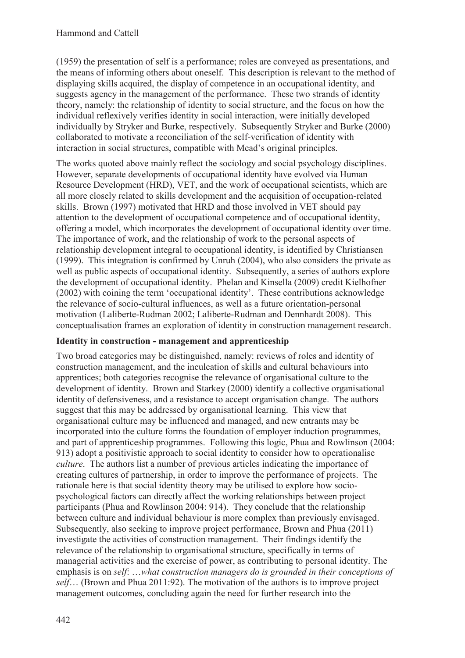(1959) the presentation of self is a performance; roles are conveyed as presentations, and the means of informing others about oneself. This description is relevant to the method of displaying skills acquired, the display of competence in an occupational identity, and suggests agency in the management of the performance. These two strands of identity theory, namely: the relationship of identity to social structure, and the focus on how the individual reflexively verifies identity in social interaction, were initially developed individually by Stryker and Burke, respectively. Subsequently Stryker and Burke (2000) collaborated to motivate a reconciliation of the self-verification of identity with interaction in social structures, compatible with Mead's original principles.

The works quoted above mainly reflect the sociology and social psychology disciplines. However, separate developments of occupational identity have evolved via Human Resource Development (HRD), VET, and the work of occupational scientists, which are all more closely related to skills development and the acquisition of occupation-related skills. Brown (1997) motivated that HRD and those involved in VET should pay attention to the development of occupational competence and of occupational identity, offering a model, which incorporates the development of occupational identity over time. The importance of work, and the relationship of work to the personal aspects of relationship development integral to occupational identity, is identified by Christiansen (1999). This integration is confirmed by Unruh (2004), who also considers the private as well as public aspects of occupational identity. Subsequently, a series of authors explore the development of occupational identity. Phelan and Kinsella (2009) credit Kielhofner (2002) with coining the term 'occupational identity'. These contributions acknowledge the relevance of socio-cultural influences, as well as a future orientation-personal motivation (Laliberte-Rudman 2002; Laliberte-Rudman and Dennhardt 2008). This conceptualisation frames an exploration of identity in construction management research.

### **Identity in construction - management and apprenticeship**

Two broad categories may be distinguished, namely: reviews of roles and identity of construction management, and the inculcation of skills and cultural behaviours into apprentices; both categories recognise the relevance of organisational culture to the development of identity. Brown and Starkey (2000) identify a collective organisational identity of defensiveness, and a resistance to accept organisation change. The authors suggest that this may be addressed by organisational learning. This view that organisational culture may be influenced and managed, and new entrants may be incorporated into the culture forms the foundation of employer induction programmes, and part of apprenticeship programmes. Following this logic, Phua and Rowlinson (2004: 913) adopt a positivistic approach to social identity to consider how to operationalise *culture*. The authors list a number of previous articles indicating the importance of creating cultures of partnership, in order to improve the performance of projects. The rationale here is that social identity theory may be utilised to explore how sociopsychological factors can directly affect the working relationships between project participants (Phua and Rowlinson 2004: 914). They conclude that the relationship between culture and individual behaviour is more complex than previously envisaged. Subsequently, also seeking to improve project performance, Brown and Phua (2011) investigate the activities of construction management. Their findings identify the relevance of the relationship to organisational structure, specifically in terms of managerial activities and the exercise of power, as contributing to personal identity. The emphasis is on *self*: …*what construction managers do is grounded in their conceptions of self*… (Brown and Phua 2011:92). The motivation of the authors is to improve project management outcomes, concluding again the need for further research into the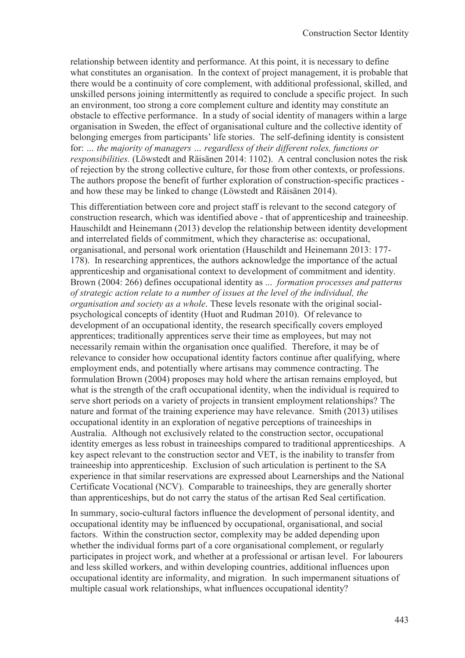relationship between identity and performance. At this point, it is necessary to define what constitutes an organisation. In the context of project management, it is probable that there would be a continuity of core complement, with additional professional, skilled, and unskilled persons joining intermittently as required to conclude a specific project. In such an environment, too strong a core complement culture and identity may constitute an obstacle to effective performance. In a study of social identity of managers within a large organisation in Sweden, the effect of organisational culture and the collective identity of belonging emerges from participants' life stories. The self-defining identity is consistent for: *… the majority of managers … regardless of their different roles, functions or responsibilities.* (Löwstedt and Räisänen 2014: 1102). A central conclusion notes the risk of rejection by the strong collective culture, for those from other contexts, or professions. The authors propose the benefit of further exploration of construction-specific practices and how these may be linked to change (Löwstedt and Räisänen 2014).

This differentiation between core and project staff is relevant to the second category of construction research, which was identified above - that of apprenticeship and traineeship. Hauschildt and Heinemann (2013) develop the relationship between identity development and interrelated fields of commitment, which they characterise as: occupational, organisational, and personal work orientation (Hauschildt and Heinemann 2013: 177- 178). In researching apprentices, the authors acknowledge the importance of the actual apprenticeship and organisational context to development of commitment and identity. Brown (2004: 266) defines occupational identity as ... *formation processes and patterns of strategic action relate to a number of issues at the level of the individual, the organisation and society as a whole*. These levels resonate with the original socialpsychological concepts of identity (Huot and Rudman 2010). Of relevance to development of an occupational identity, the research specifically covers employed apprentices; traditionally apprentices serve their time as employees, but may not necessarily remain within the organisation once qualified. Therefore, it may be of relevance to consider how occupational identity factors continue after qualifying, where employment ends, and potentially where artisans may commence contracting. The formulation Brown (2004) proposes may hold where the artisan remains employed, but what is the strength of the craft occupational identity, when the individual is required to serve short periods on a variety of projects in transient employment relationships? The nature and format of the training experience may have relevance. Smith (2013) utilises occupational identity in an exploration of negative perceptions of traineeships in Australia. Although not exclusively related to the construction sector, occupational identity emerges as less robust in traineeships compared to traditional apprenticeships. A key aspect relevant to the construction sector and VET, is the inability to transfer from traineeship into apprenticeship. Exclusion of such articulation is pertinent to the SA experience in that similar reservations are expressed about Learnerships and the National Certificate Vocational (NCV). Comparable to traineeships, they are generally shorter than apprenticeships, but do not carry the status of the artisan Red Seal certification.

In summary, socio-cultural factors influence the development of personal identity, and occupational identity may be influenced by occupational, organisational, and social factors. Within the construction sector, complexity may be added depending upon whether the individual forms part of a core organisational complement, or regularly participates in project work, and whether at a professional or artisan level. For labourers and less skilled workers, and within developing countries, additional influences upon occupational identity are informality, and migration. In such impermanent situations of multiple casual work relationships, what influences occupational identity?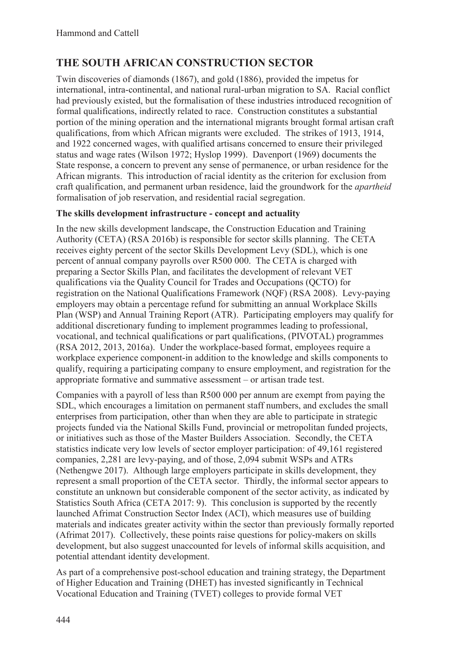# **THE SOUTH AFRICAN CONSTRUCTION SECTOR**

Twin discoveries of diamonds (1867), and gold (1886), provided the impetus for international, intra-continental, and national rural-urban migration to SA. Racial conflict had previously existed, but the formalisation of these industries introduced recognition of formal qualifications, indirectly related to race. Construction constitutes a substantial portion of the mining operation and the international migrants brought formal artisan craft qualifications, from which African migrants were excluded. The strikes of 1913, 1914, and 1922 concerned wages, with qualified artisans concerned to ensure their privileged status and wage rates (Wilson 1972; Hyslop 1999). Davenport (1969) documents the State response, a concern to prevent any sense of permanence, or urban residence for the African migrants. This introduction of racial identity as the criterion for exclusion from craft qualification, and permanent urban residence, laid the groundwork for the *apartheid* formalisation of job reservation, and residential racial segregation.

#### **The skills development infrastructure - concept and actuality**

In the new skills development landscape, the Construction Education and Training Authority (CETA) (RSA 2016b) is responsible for sector skills planning. The CETA receives eighty percent of the sector Skills Development Levy (SDL), which is one percent of annual company payrolls over R500 000. The CETA is charged with preparing a Sector Skills Plan, and facilitates the development of relevant VET qualifications via the Quality Council for Trades and Occupations (QCTO) for registration on the National Qualifications Framework (NQF) (RSA 2008). Levy-paying employers may obtain a percentage refund for submitting an annual Workplace Skills Plan (WSP) and Annual Training Report (ATR). Participating employers may qualify for additional discretionary funding to implement programmes leading to professional, vocational, and technical qualifications or part qualifications, (PIVOTAL) programmes (RSA 2012, 2013, 2016a). Under the workplace-based format, employees require a workplace experience component-in addition to the knowledge and skills components to qualify, requiring a participating company to ensure employment, and registration for the appropriate formative and summative assessment – or artisan trade test.

Companies with a payroll of less than R500 000 per annum are exempt from paying the SDL, which encourages a limitation on permanent staff numbers, and excludes the small enterprises from participation, other than when they are able to participate in strategic projects funded via the National Skills Fund, provincial or metropolitan funded projects, or initiatives such as those of the Master Builders Association. Secondly, the CETA statistics indicate very low levels of sector employer participation: of 49,161 registered companies, 2,281 are levy-paying, and of those, 2,094 submit WSPs and ATRs (Nethengwe 2017). Although large employers participate in skills development, they represent a small proportion of the CETA sector. Thirdly, the informal sector appears to constitute an unknown but considerable component of the sector activity, as indicated by Statistics South Africa (CETA 2017: 9). This conclusion is supported by the recently launched Afrimat Construction Sector Index (ACI), which measures use of building materials and indicates greater activity within the sector than previously formally reported (Afrimat 2017). Collectively, these points raise questions for policy-makers on skills development, but also suggest unaccounted for levels of informal skills acquisition, and potential attendant identity development.

As part of a comprehensive post-school education and training strategy, the Department of Higher Education and Training (DHET) has invested significantly in Technical Vocational Education and Training (TVET) colleges to provide formal VET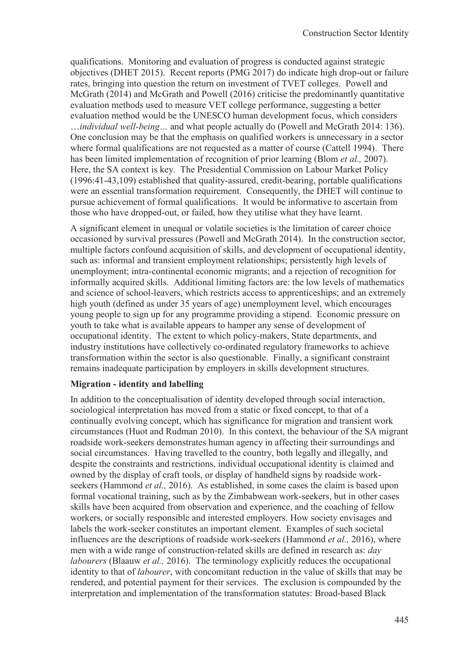qualifications. Monitoring and evaluation of progress is conducted against strategic objectives (DHET 2015). Recent reports (PMG 2017) do indicate high drop-out or failure rates, bringing into question the return on investment of TVET colleges. Powell and McGrath (2014) and McGrath and Powell (2016) criticise the predominantly quantitative evaluation methods used to measure VET college performance, suggesting a better evaluation method would be the UNESCO human development focus, which considers …*individual well-being…* and what people actually do (Powell and McGrath 2014: 136). One conclusion may be that the emphasis on qualified workers is unnecessary in a sector where formal qualifications are not requested as a matter of course (Cattell 1994). There has been limited implementation of recognition of prior learning (Blom *et al.,* 2007). Here, the SA context is key. The Presidential Commission on Labour Market Policy (1996:41-43,109) established that quality-assured, credit-bearing, portable qualifications were an essential transformation requirement. Consequently, the DHET will continue to pursue achievement of formal qualifications. It would be informative to ascertain from those who have dropped-out, or failed, how they utilise what they have learnt.

A significant element in unequal or volatile societies is the limitation of career choice occasioned by survival pressures (Powell and McGrath 2014). In the construction sector, multiple factors confound acquisition of skills, and development of occupational identity, such as: informal and transient employment relationships; persistently high levels of unemployment; intra-continental economic migrants; and a rejection of recognition for informally acquired skills. Additional limiting factors are: the low levels of mathematics and science of school-leavers, which restricts access to apprenticeships; and an extremely high youth (defined as under 35 years of age) unemployment level, which encourages young people to sign up for any programme providing a stipend. Economic pressure on youth to take what is available appears to hamper any sense of development of occupational identity. The extent to which policy-makers, State departments, and industry institutions have collectively co-ordinated regulatory frameworks to achieve transformation within the sector is also questionable. Finally, a significant constraint remains inadequate participation by employers in skills development structures.

#### **Migration - identity and labelling**

In addition to the conceptualisation of identity developed through social interaction, sociological interpretation has moved from a static or fixed concept, to that of a continually evolving concept, which has significance for migration and transient work circumstances (Huot and Rudman 2010). In this context, the behaviour of the SA migrant roadside work-seekers demonstrates human agency in affecting their surroundings and social circumstances. Having travelled to the country, both legally and illegally, and despite the constraints and restrictions, individual occupational identity is claimed and owned by the display of craft tools, or display of handheld signs by roadside workseekers (Hammond *et al.,* 2016). As established, in some cases the claim is based upon formal vocational training, such as by the Zimbabwean work-seekers, but in other cases skills have been acquired from observation and experience, and the coaching of fellow workers, or socially responsible and interested employers. How society envisages and labels the work-seeker constitutes an important element. Examples of such societal influences are the descriptions of roadside work-seekers (Hammond *et al.,* 2016), where men with a wide range of construction-related skills are defined in research as: *day labourers* (Blaauw *et al.,* 2016). The terminology explicitly reduces the occupational identity to that of *labourer*, with concomitant reduction in the value of skills that may be rendered, and potential payment for their services. The exclusion is compounded by the interpretation and implementation of the transformation statutes: Broad-based Black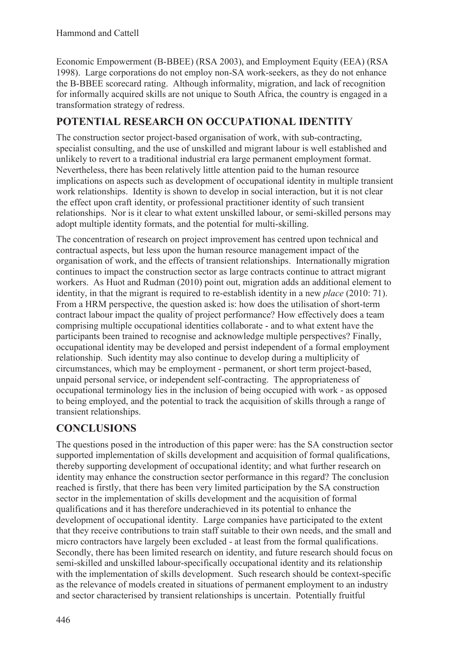Economic Empowerment (B-BBEE) (RSA 2003), and Employment Equity (EEA) (RSA 1998). Large corporations do not employ non-SA work-seekers, as they do not enhance the B-BBEE scorecard rating. Although informality, migration, and lack of recognition for informally acquired skills are not unique to South Africa, the country is engaged in a transformation strategy of redress.

## **POTENTIAL RESEARCH ON OCCUPATIONAL IDENTITY**

The construction sector project-based organisation of work, with sub-contracting, specialist consulting, and the use of unskilled and migrant labour is well established and unlikely to revert to a traditional industrial era large permanent employment format. Nevertheless, there has been relatively little attention paid to the human resource implications on aspects such as development of occupational identity in multiple transient work relationships. Identity is shown to develop in social interaction, but it is not clear the effect upon craft identity, or professional practitioner identity of such transient relationships. Nor is it clear to what extent unskilled labour, or semi-skilled persons may adopt multiple identity formats, and the potential for multi-skilling.

The concentration of research on project improvement has centred upon technical and contractual aspects, but less upon the human resource management impact of the organisation of work, and the effects of transient relationships. Internationally migration continues to impact the construction sector as large contracts continue to attract migrant workers. As Huot and Rudman (2010) point out, migration adds an additional element to identity, in that the migrant is required to re-establish identity in a new *place* (2010: 71). From a HRM perspective, the question asked is: how does the utilisation of short-term contract labour impact the quality of project performance? How effectively does a team comprising multiple occupational identities collaborate - and to what extent have the participants been trained to recognise and acknowledge multiple perspectives? Finally, occupational identity may be developed and persist independent of a formal employment relationship. Such identity may also continue to develop during a multiplicity of circumstances, which may be employment - permanent, or short term project-based, unpaid personal service, or independent self-contracting. The appropriateness of occupational terminology lies in the inclusion of being occupied with work - as opposed to being employed, and the potential to track the acquisition of skills through a range of transient relationships.

## **CONCLUSIONS**

The questions posed in the introduction of this paper were: has the SA construction sector supported implementation of skills development and acquisition of formal qualifications, thereby supporting development of occupational identity; and what further research on identity may enhance the construction sector performance in this regard? The conclusion reached is firstly, that there has been very limited participation by the SA construction sector in the implementation of skills development and the acquisition of formal qualifications and it has therefore underachieved in its potential to enhance the development of occupational identity. Large companies have participated to the extent that they receive contributions to train staff suitable to their own needs, and the small and micro contractors have largely been excluded - at least from the formal qualifications. Secondly, there has been limited research on identity, and future research should focus on semi-skilled and unskilled labour-specifically occupational identity and its relationship with the implementation of skills development. Such research should be context-specific as the relevance of models created in situations of permanent employment to an industry and sector characterised by transient relationships is uncertain. Potentially fruitful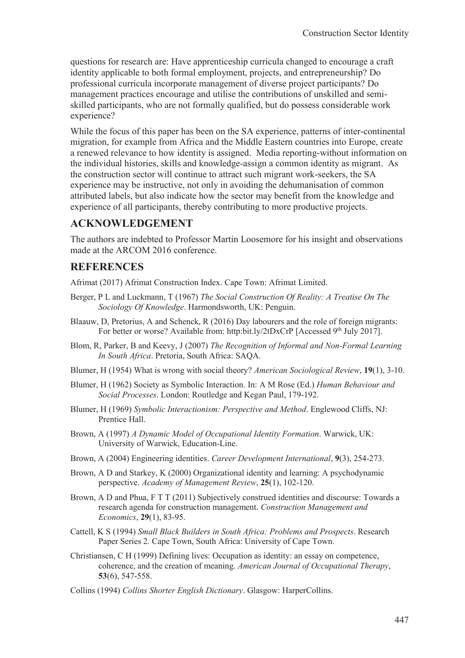questions for research are: Have apprenticeship curricula changed to encourage a craft identity applicable to both formal employment, projects, and entrepreneurship? Do professional curricula incorporate management of diverse project participants? Do management practices encourage and utilise the contributions of unskilled and semiskilled participants, who are not formally qualified, but do possess considerable work experience?

While the focus of this paper has been on the SA experience, patterns of inter-continental migration, for example from Africa and the Middle Eastern countries into Europe, create a renewed relevance to how identity is assigned. Media reporting-without information on the individual histories, skills and knowledge-assign a common identity as migrant. As the construction sector will continue to attract such migrant work-seekers, the SA experience may be instructive, not only in avoiding the dehumanisation of common attributed labels, but also indicate how the sector may benefit from the knowledge and experience of all participants, thereby contributing to more productive projects.

### **ACKNOWLEDGEMENT**

The authors are indebted to Professor Martin Loosemore for his insight and observations made at the ARCOM 2016 conference.

### **REFERENCES**

Afrimat (2017) Afrimat Construction Index. Cape Town: Afrimat Limited.

- Berger, P L and Luckmann, T (1967) *The Social Construction Of Reality: A Treatise On The Sociology Of Knowledge*. Harmondsworth, UK: Penguin.
- Blaauw, D, Pretorius, A and Schenck, R (2016) Day labourers and the role of foreign migrants: For better or worse? Available from: http:bit.ly/2tDxCrP [Accessed 9<sup>th</sup> July 2017].
- Blom, R, Parker, B and Keevy, J (2007) *The Recognition of Informal and Non-Formal Learning In South Africa*. Pretoria, South Africa: SAQA.
- Blumer, H (1954) What is wrong with social theory? *American Sociological Review*, **19**(1), 3-10.
- Blumer, H (1962) Society as Symbolic Interaction. In: A M Rose (Ed.) *Human Behaviour and Social Processes*. London: Routledge and Kegan Paul, 179-192.
- Blumer, H (1969) *Symbolic Interactionism: Perspective and Method*. Englewood Cliffs, NJ: Prentice Hall.
- Brown, A (1997) *A Dynamic Model of Occupational Identity Formation*. Warwick, UK: University of Warwick, Education-Line.
- Brown, A (2004) Engineering identities. *Career Development International*, **9**(3), 254-273.
- Brown, A D and Starkey, K (2000) Organizational identity and learning: A psychodynamic perspective. *Academy of Management Review*, **25**(1), 102-120.
- Brown, A D and Phua, F T T (2011) Subjectively construed identities and discourse: Towards a research agenda for construction management. *Construction Management and Economics*, **29**(1), 83-95.
- Cattell, K S (1994) *Small Black Builders in South Africa: Problems and Prospects*. Research Paper Series 2*.* Cape Town, South Africa: University of Cape Town.
- Christiansen, C H (1999) Defining lives: Occupation as identity: an essay on competence, coherence, and the creation of meaning. *American Journal of Occupational Therapy*, **53**(6), 547-558.
- Collins (1994) *Collins Shorter English Dictionary*. Glasgow: HarperCollins.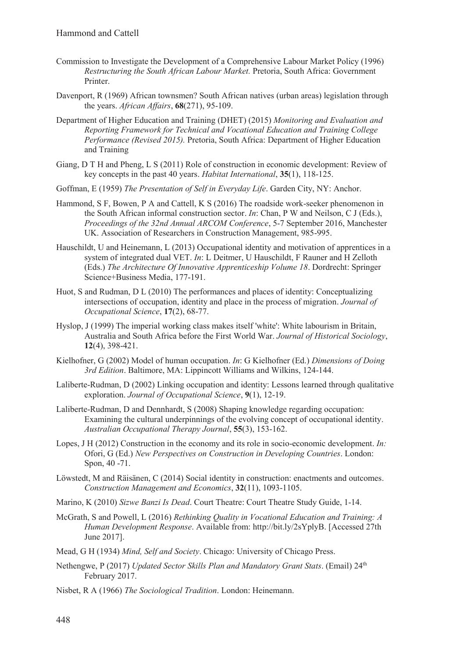- Commission to Investigate the Development of a Comprehensive Labour Market Policy (1996) *Restructuring the South African Labour Market.* Pretoria, South Africa: Government Printer.
- Davenport, R (1969) African townsmen? South African natives (urban areas) legislation through the years. *African Affairs*, **68**(271), 95-109.
- Department of Higher Education and Training (DHET) (2015) *Monitoring and Evaluation and Reporting Framework for Technical and Vocational Education and Training College Performance (Revised 2015).* Pretoria, South Africa: Department of Higher Education and Training
- Giang, D T H and Pheng, L S (2011) Role of construction in economic development: Review of key concepts in the past 40 years. *Habitat International*, **35**(1), 118-125.
- Goffman, E (1959) *The Presentation of Self in Everyday Life*. Garden City, NY: Anchor.
- Hammond, S F, Bowen, P A and Cattell, K S (2016) The roadside work-seeker phenomenon in the South African informal construction sector. *In*: Chan, P W and Neilson, C J (Eds.), *Proceedings of the 32nd Annual ARCOM Conference*, 5-7 September 2016, Manchester UK. Association of Researchers in Construction Management, 985-995.
- Hauschildt, U and Heinemann, L (2013) Occupational identity and motivation of apprentices in a system of integrated dual VET. *In*: L Deitmer, U Hauschildt, F Rauner and H Zelloth (Eds.) *The Architecture Of Innovative Apprenticeship Volume 18*. Dordrecht: Springer Science+Business Media, 177-191.
- Huot, S and Rudman, D L (2010) The performances and places of identity: Conceptualizing intersections of occupation, identity and place in the process of migration. *Journal of Occupational Science*, **17**(2), 68-77.
- Hyslop, J (1999) The imperial working class makes itself 'white': White labourism in Britain, Australia and South Africa before the First World War. *Journal of Historical Sociology*, **12**(4), 398-421.
- Kielhofner, G (2002) Model of human occupation. *In*: G Kielhofner (Ed.) *Dimensions of Doing 3rd Edition*. Baltimore, MA: Lippincott Williams and Wilkins, 124-144.
- Laliberte-Rudman, D (2002) Linking occupation and identity: Lessons learned through qualitative exploration. *Journal of Occupational Science*, **9**(1), 12-19.
- Laliberte-Rudman, D and Dennhardt, S (2008) Shaping knowledge regarding occupation: Examining the cultural underpinnings of the evolving concept of occupational identity. *Australian Occupational Therapy Journal*, **55**(3), 153-162.
- Lopes, J H (2012) Construction in the economy and its role in socio-economic development. *In:* Ofori, G (Ed.) *New Perspectives on Construction in Developing Countries*. London: Spon, 40 -71.
- Löwstedt, M and Räisänen, C (2014) Social identity in construction: enactments and outcomes. *Construction Management and Economics*, **32**(11), 1093-1105.
- Marino, K (2010) *Sizwe Banzi Is Dead*. Court Theatre: Court Theatre Study Guide, 1-14.
- McGrath, S and Powell, L (2016) *Rethinking Quality in Vocational Education and Training: A Human Development Response*. Available from: http://bit.ly/2sYplyB. [Accessed 27th June 2017].
- Mead, G H (1934) *Mind, Self and Society*. Chicago: University of Chicago Press.
- Nethengwe, P (2017) *Updated Sector Skills Plan and Mandatory Grant Stats*. (Email) 24th February 2017.
- Nisbet, R A (1966) *The Sociological Tradition*. London: Heinemann.